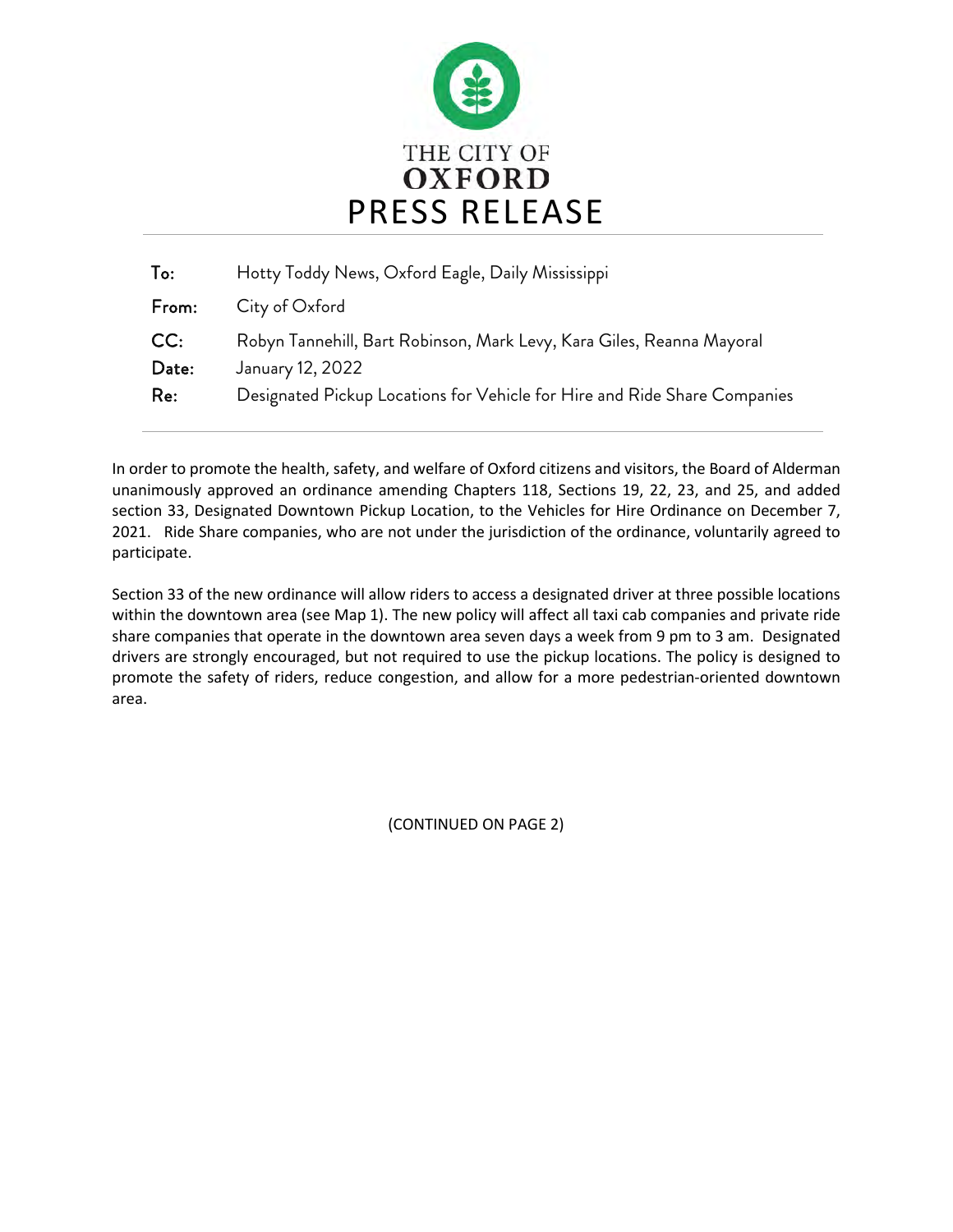

| To:          | Hotty Toddy News, Oxford Eagle, Daily Mississippi                                         |
|--------------|-------------------------------------------------------------------------------------------|
| From:        | City of Oxford                                                                            |
| CC:<br>Date: | Robyn Tannehill, Bart Robinson, Mark Levy, Kara Giles, Reanna Mayoral<br>January 12, 2022 |
| Re:          | Designated Pickup Locations for Vehicle for Hire and Ride Share Companies                 |
|              |                                                                                           |

In order to promote the health, safety, and welfare of Oxford citizens and visitors, the Board of Alderman unanimously approved an ordinance amending Chapters 118, Sections 19, 22, 23, and 25, and added section 33, Designated Downtown Pickup Location, to the Vehicles for Hire Ordinance on December 7, 2021. Ride Share companies, who are not under the jurisdiction of the ordinance, voluntarily agreed to participate.

Section 33 of the new ordinance will allow riders to access a designated driver at three possible locations within the downtown area (see Map 1). The new policy will affect all taxi cab companies and private ride share companies that operate in the downtown area seven days a week from 9 pm to 3 am. Designated drivers are strongly encouraged, but not required to use the pickup locations. The policy is designed to promote the safety of riders, reduce congestion, and allow for a more pedestrian-oriented downtown area.

(CONTINUED ON PAGE 2)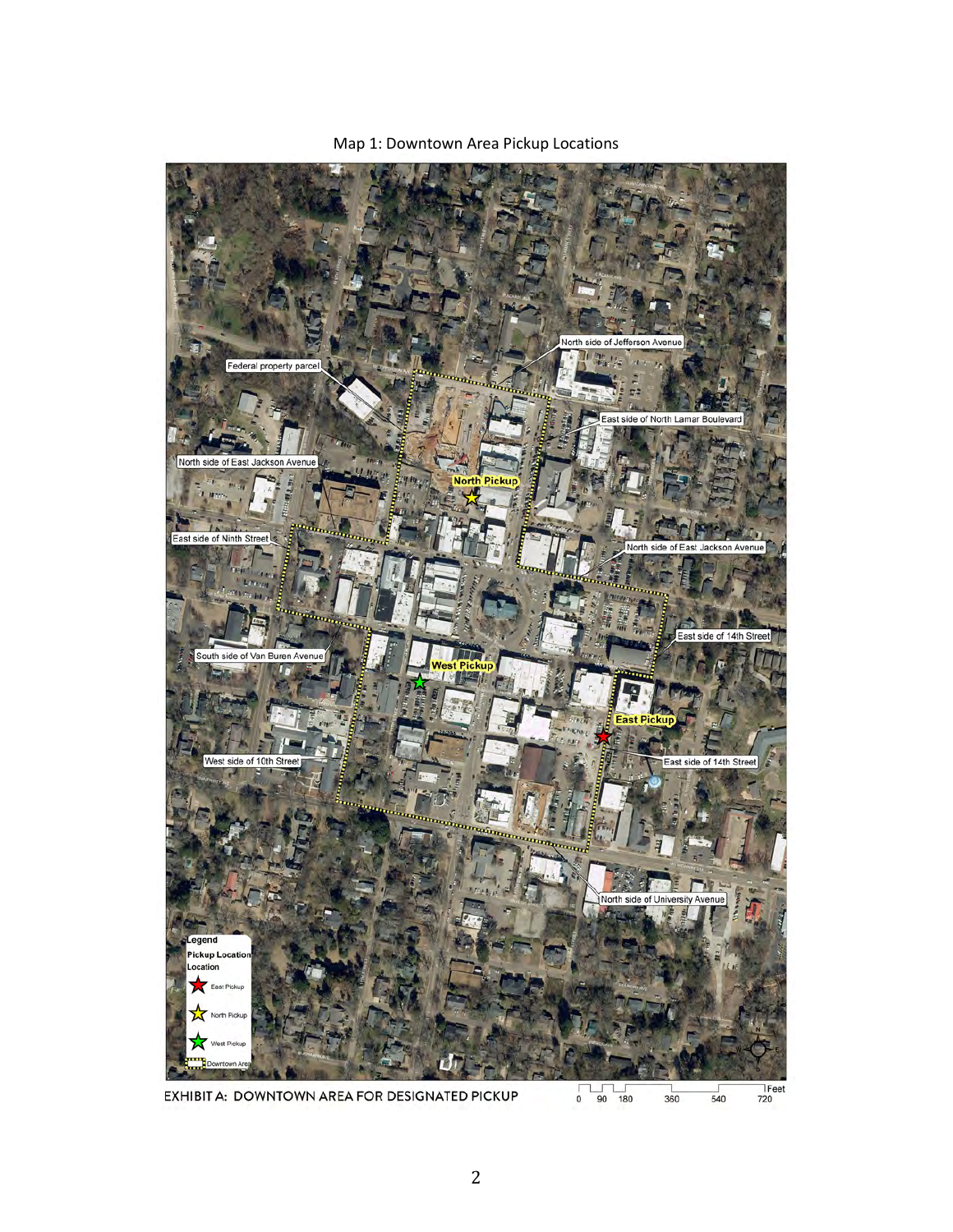

Map 1: Downtown Area Pickup Locations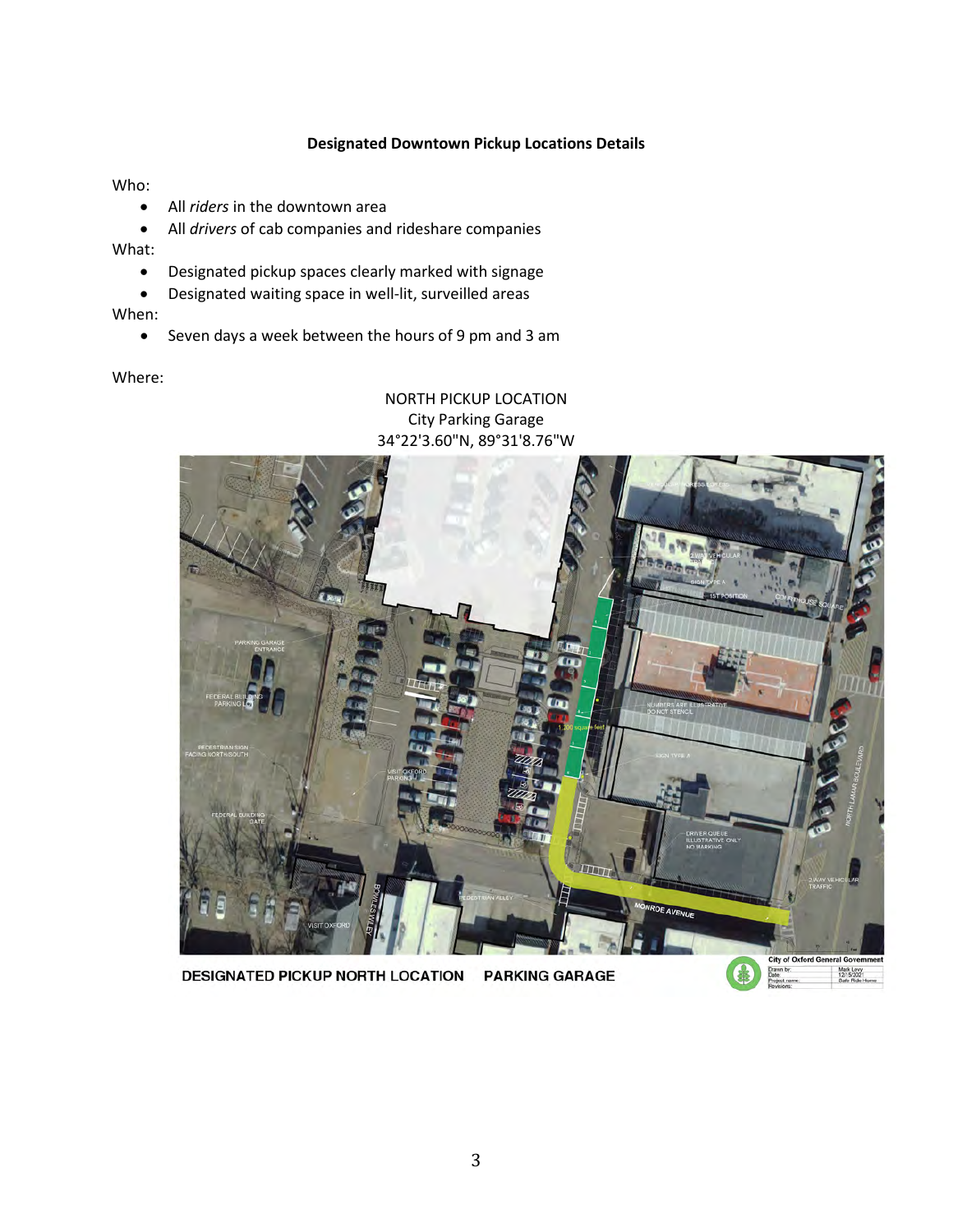## **Designated Downtown Pickup Locations Details**

Who:

- All *riders* in the downtown area
- All *drivers* of cab companies and rideshare companies

What:

- Designated pickup spaces clearly marked with signage
- Designated waiting space in well-lit, surveilled areas

When:

• Seven days a week between the hours of 9 pm and 3 am

Where:

## NORTH PICKUP LOCATION City Parking Garage 34°22'3.60"N, 89°31'8.76"W



DESIGNATED PICKUP NORTH LOCATION PARKING GARAGE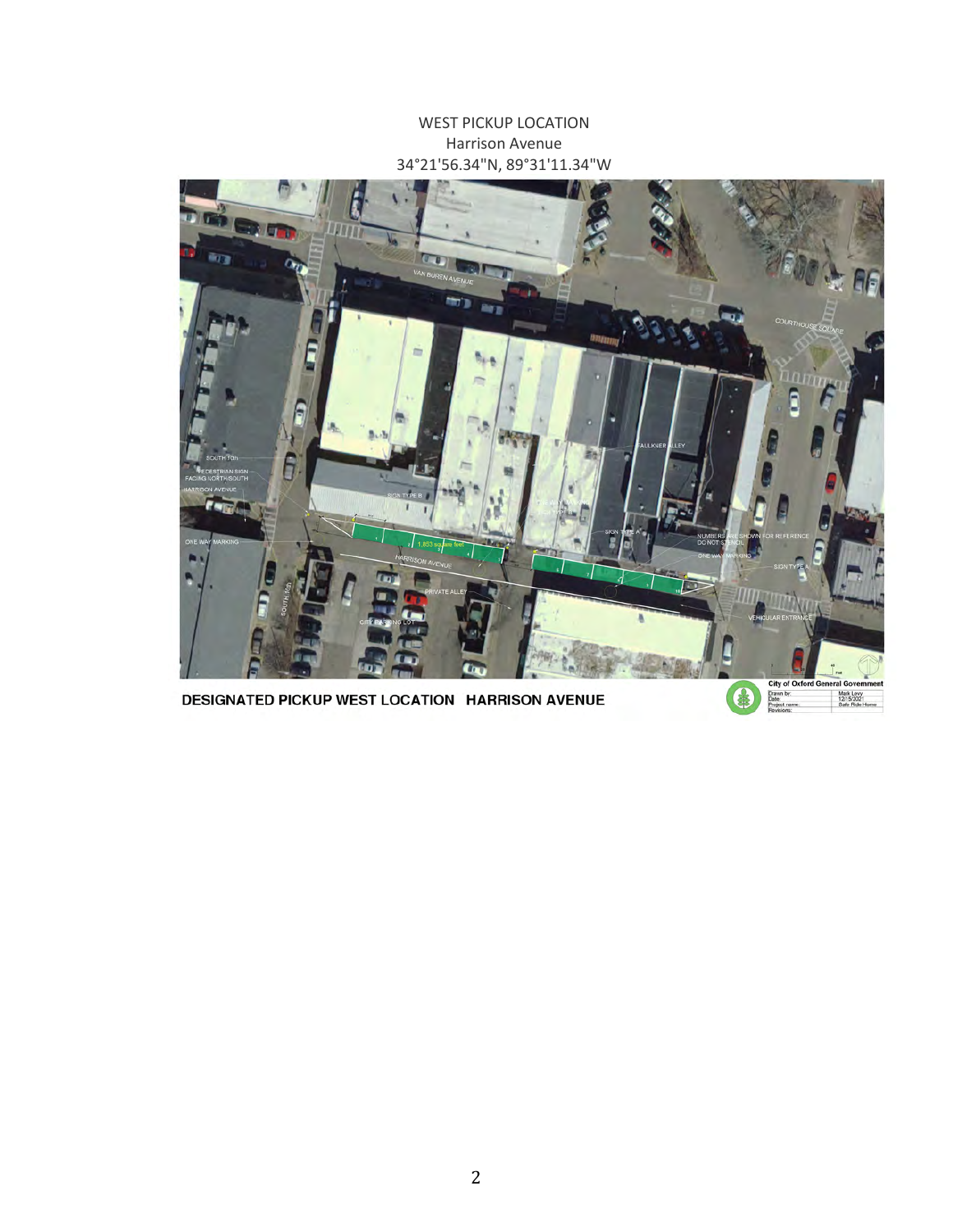WEST PICKUP LOCATION Harrison Avenue 34°21'56.34"N, 89°31'11.34"W



DESIGNATED PICKUP WEST LOCATION HARRISON AVENUE